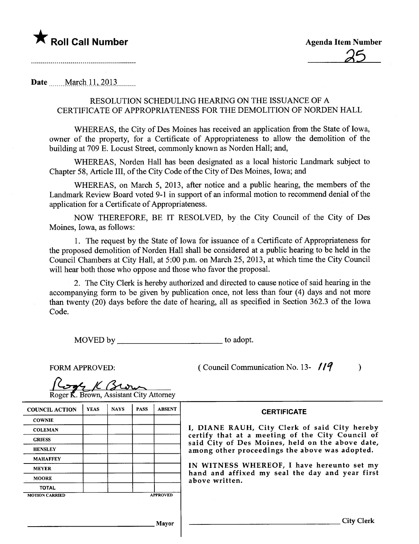

Date \_\_\_\_\_ March 11, 2013

#### RESOLUTION SCHEDULING HEARING ON THE ISSUANCE OF A CERTIFICATE OF APPROPRIATENESS FOR THE DEMOLITION OF NORDEN HALL

WHEREAS, the City of Des Moines has received an application from the State of Iowa, owner of the property, for a Certificate of Appropriateness to allow the demolition of the building at 709 E. Locust Street, commonly known as Norden Hall; and,

WHEREAS, Norden Hall has been designated as a local historic Landmark subject to Chapter 58, Article III, of the City Code of the City of Des Moines, Iowa; and

WHEREAS, on March 5, 2013, after notice and a public hearing, the members of the Landmark Review Board voted 9-1 in support of an informal motion to recommend denial of the application for a Certificate of Appropriateness.

NOW THEREFORE, BE IT RESOLVED, by the City Council of the City of Des Moines, Iowa, as follows:

1. The request by the State of Iowa for issuance of a Certificate of Appropriateness for the proposed demolition of Norden Hall shall be considered at a public hearng to be held in the Council Chambers at City Hall, at 5:00 p.m. on March 25,2013, at which time the City Council will hear both those who oppose and those who favor the proposal.

2. The City Clerk is hereby authorized and directed to cause notice of said hearing in the accompanying form to be given by publication once, not less than four (4) days and not more than twenty (20) days before the date of hearing, all as specified in Section 362.3 of the Iowa Code.

MOVED by to adopt.

FORM APPROVED:  $($  Council Communication No. 13-  $/19$  )

<u>Korn K. Brown, Assistant City Attorney</u>

COUNCIL ACTION YEAS | NAYS | PASS | ABSENT | CERTIFICATE **COWNIE** GRIESS MAHAFFEY MOORE TOTAL MOTION CARRIED **APPROVED** 

COLEMAN | THE TERRY OF THE TERRY OF THE TERRY OF SAID CITY OF THE TERRY OF SAID CITY OF THE TERRY OF SAID CITY certify that at a meeting of the City Council of said City of Des Moines, held on the above date, HENSLEY | | | | | | among other proceedings the above was adopted.

MEYER **IN WITNESS WHEREOF**, I have hereunto set my hand and affixed my seal the day and year first above written.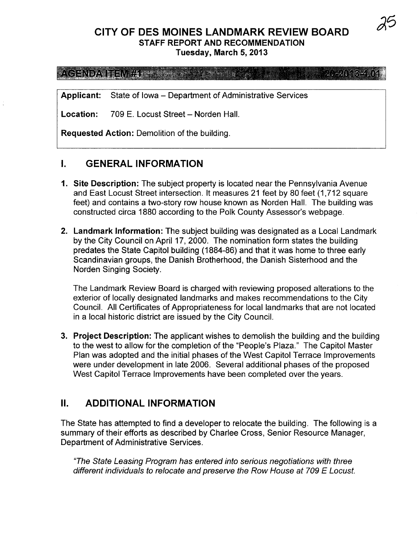# CITY OF DES MOINES LANDMARK REVIEW BOARD STAFF REPORT AND RECOMMENDATION

Tuesday, March 5, 2013

 $\mathcal{P}(\mathbf{G}|\mathbf{N}|\mathbf{D}\mathbf{A}\mathbf{v}|_{\mathbf{I}}=0$  .  $\mathcal{H}(\mathbf{X}|\mathbf{X})$  , we find the set of  $\mathcal{H}(\mathbf{X}|\mathbf{X})$  ,  $\mathcal{H}(\mathbf{X}|\mathbf{X})$ 

Applicant: State of Iowa – Department of Administrative Services

Location: 709 E. Locust Street - Norden Hall.

Requested Action: Demolition of the building.

#### I. GENERAL INFORMATION

- 1. Site Description: The subject property is located near the Pennsylvania Avenue and East Locust Street intersection. It measures 21 feet by 80 feet (1,712 square feet) and contains a two-story row house known as Norden HalL. The building was constructed circa 1880 according to the Polk County Assessor's webpage.
- 2. Landmark Information: The subject building was designated as a Local Landmark by the City Council on April 17, 2000. The nomination form states the building predates the State Capitol building (1884-86) and that it was home to three early Scandinavian groups, the Danish Brotherhood, the Danish Sisterhood and the Norden Singing Society.

The Landmark Review Board is charged with reviewing proposed alterations to the exterior of locally designated landmarks and makes recommendations to the City CounciL. All Certificates of Appropriateness for local landmarks that are not located in a local historic district are issued by the City CounciL.

3. Project Description: The applicant wishes to demolish the building and the building to the west to allow for the completion of the "People's Plaza." The Capitol Master Plan was adopted and the initial phases of the West Capitol Terrace Improvements were under development in late 2006. Several additional phases of the proposed West Capitol Terrace Improvements have been completed over the years.

### II. ADDITIONAL INFORMATION

The State has attempted to find a developer to relocate the building. The following is a summary of their efforts as described by Charlee Cross, Senior Resource Manager, Department of Administrative Services.

"The State Leasing Program has entered into serious negotiations with three different individuals to relocate and preserve the Row House at 709 E Locust.